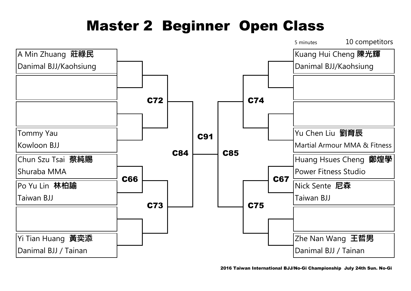## Master 2 Beginner Open Class

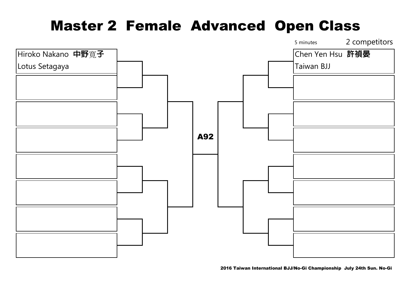## Master 2 Female Advanced Open Class



2016 Taiwan International BJJ/No-Gi Championship July 24th Sun. No-Gi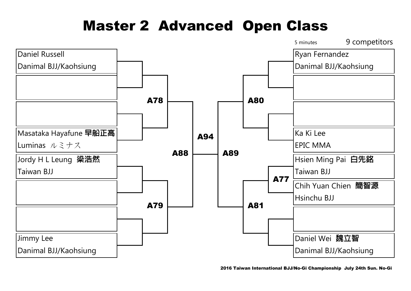## Master 2 Advanced Open Class